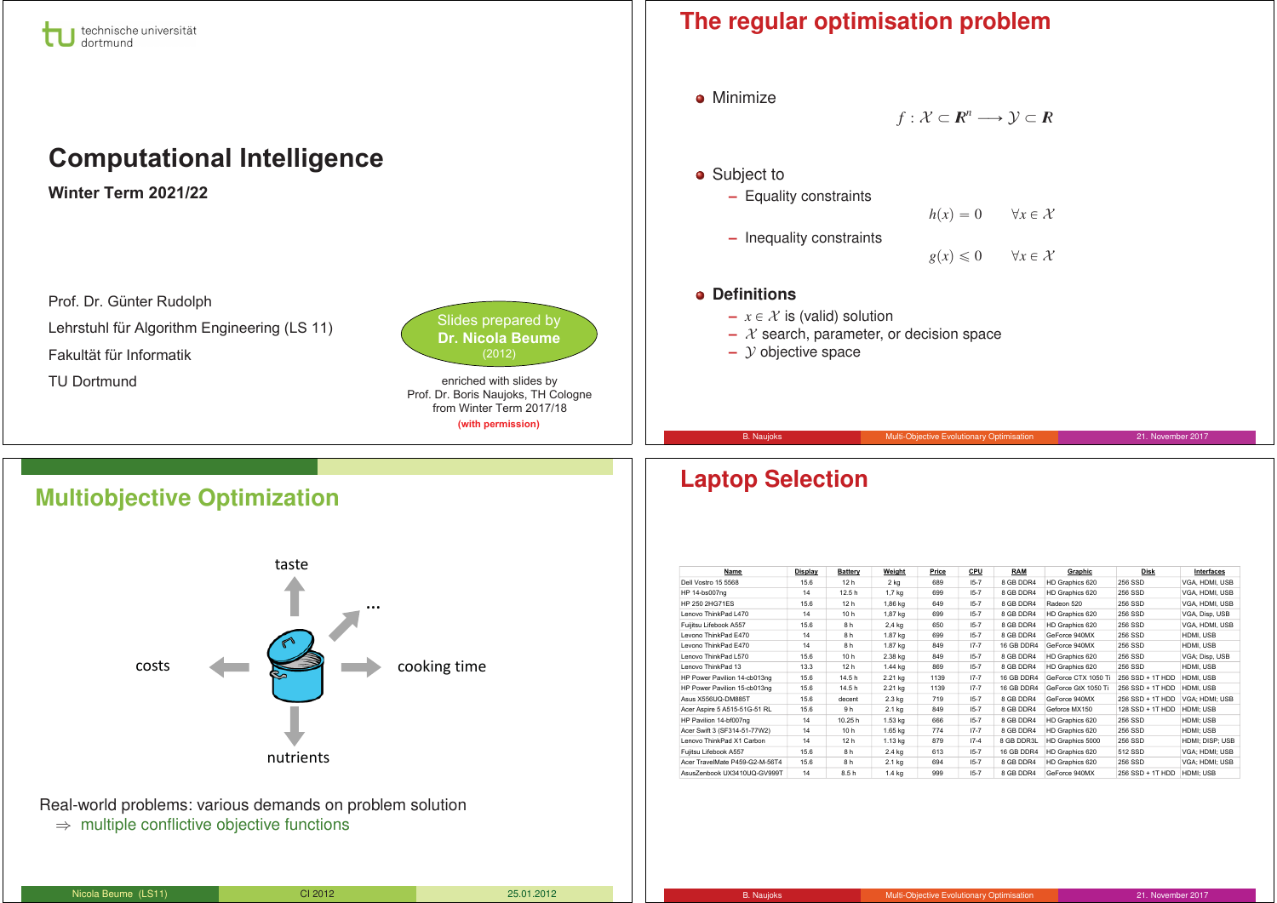

# **Computational Intelligence**

**Winter Term 2021/22** 

Prof. Dr. Günter Rudolph Lehrstuhl für Algorithm Engineering (LS 11) Fakultät für Informatik TU Dortmund



enriched with slides by Prof. Dr. Boris Naujoks, TH Cologne from Winter Term 2017/18 (with permission)

## **The regular optimisation problem**



**Multiobjective Optimization**



Real-world problems: various demands on problem solution ⇒ multiple conflictive objective functions

| Name                           | Display | <b>Battery</b>  | Weight          | Price | CPU      | <b>RAM</b>        | Graphic             | Disk             | Interfaces      |
|--------------------------------|---------|-----------------|-----------------|-------|----------|-------------------|---------------------|------------------|-----------------|
| Dell Vostro 15 5568            | 15.6    | 12 h            | 2 <sub>kg</sub> | 689   | $15 - 7$ | 8 GB DDR4         | HD Graphics 620     | 256 SSD          | VGA, HDMI, USB  |
| HP 14-bs007ng                  | 14      | 12.5h           | $1,7$ kg        | 699   | $15 - 7$ | 8 GB DDR4         | HD Graphics 620     | 256 SSD          | VGA. HDMI, USB  |
| HP 250 2HG71ES                 | 15.6    | 12 <sub>h</sub> | 1,86 kg         | 649   | $15 - 7$ | 8 GB DDR4         | Radeon 520          | 256 SSD          | VGA, HDMI, USB  |
| Lenovo ThinkPad L470           | 14      | 10h             | 1,87 kg         | 699   | $15 - 7$ | 8 GB DDR4         | HD Graphics 620     | 256 SSD          | VGA, Disp, USB  |
| Fuijitsu Lifebook A557         | 15.6    | 8h              | 2,4 kg          | 650   | $15 - 7$ | 8 GB DDR4         | HD Graphics 620     | 256 SSD          | VGA. HDMI. USB  |
| I evono ThinkPad F470          | 14      | 8h              | 1.87 kg         | 699   | $15 - 7$ | 8 GB DDR4         | GeForce 940MX       | 256 SSD          | HDMI, USB       |
| Levono ThinkPad F470           | 14      | 8h              | 1.87 kg         | 849   | $17 - 7$ | 16 GB DDR4        | GeForce 940MX       | 256 SSD          | HDMI, USB       |
| Lenovo ThinkPad L570           | 15.6    | 10 h            | 2.38 kg         | 849   | $15 - 7$ | 8 GB DDR4         | HD Graphics 620     | 256 SSD          | VGA; Disp, USB  |
| Lenovo ThinkPad 13             | 13.3    | 12 <sub>h</sub> | 1.44 kg         | 869   | $15 - 7$ | 8 GB DDR4         | HD Graphics 620     | 256 SSD          | HDMI, USB       |
| HP Power Pavilion 14-cb013ng   | 15.6    | 14.5h           | 2.21 kg         | 1139  | $17 - 7$ | <b>16 GB DDR4</b> | GeForce CTX 1050 Ti | 256 SSD + 1T HDD | HDMI, USB       |
| HP Power Pavilion 15-cb013ng   | 15.6    | 14.5h           | 2.21 kg         | 1139  | $17 - 7$ | <b>16 GB DDR4</b> | GeForce GtX 1050 Ti | 256 SSD + 1T HDD | HDMI, USB       |
| Asus X556UQ-DM885T             | 15.6    | decent          | $2.3$ kg        | 719   | $15 - 7$ | 8 GB DDR4         | GeForce 940MX       | 256 SSD + 1T HDD | VGA: HDMI: USB  |
| Acer Aspire 5 A515-51G-51 RL   | 15.6    | 9h              | 2.1 kg          | 849   | $15 - 7$ | 8 GB DDR4         | Geforce MX150       | 128 SSD + 1T HDD | HDMI: USB       |
| HP Pavilion 14-bf007ng         | 14      | 10.25 h         | 1.53 kg         | 666   | $15 - 7$ | 8 GB DDR4         | HD Graphics 620     | 256 SSD          | HDMI; USB       |
| Acer Swift 3 (SF314-51-77W2)   | 14      | 10h             | 1.65 kg         | 774   | $17 - 7$ | 8 GB DDR4         | HD Graphics 620     | 256 SSD          | HDMI: USB       |
| Lenovo ThinkPad X1 Carbon      | 14      | 12 <sub>h</sub> | 1.13 kg         | 879   | $17 - 4$ | 8 GB DDR3L        | HD Graphics 5000    | 256 SSD          | HDMI: DISP: USB |
| Fuiltsu Lifebook A557          | 15.6    | 8 h             | 2.4 kg          | 613   | $15 - 7$ | 16 GB DDR4        | HD Graphics 620     | 512 SSD          | VGA: HDMI: USB  |
| Acer TravelMate P459-G2-M-56T4 | 15.6    | 8h              | 2.1 kg          | 694   | $15 - 7$ | 8 GB DDR4         | HD Graphics 620     | 256 SSD          | VGA: HDMI: USB  |
| AsusZenbook UX3410UQ-GV999T    | 14      | 8.5h            | $1.4$ kg        | 999   | $15 - 7$ | 8 GB DDR4         | GeForce 940MX       | 256 SSD + 1T HDD | HDMI; USB       |

# **Laptop Selection**

| Nicola Beume (LS11) | CI 2012 | 25.01.2012 |
|---------------------|---------|------------|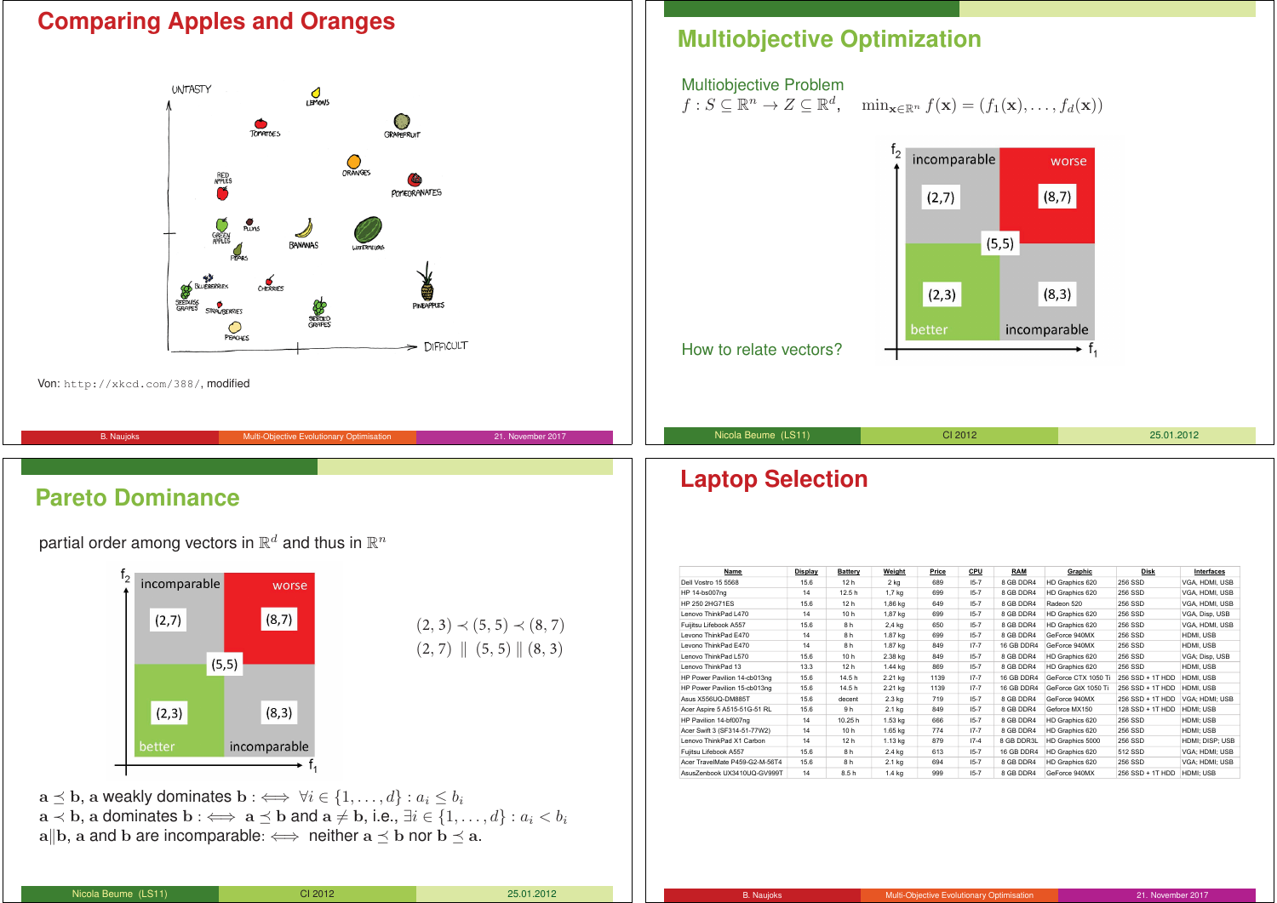## **Comparing Apples and Oranges**



Von: http://xkcd.com/388/, modified

# B. Naujoks **Multi-Objective Evolutionary Optimisation** 21. November 2017

## **Pareto Dominance**

partial order among vectors in  $\mathbb{R}^d$  and thus in  $\mathbb{R}^n$ 



 $a \lt b$ , a dominates  $b : \iff a \preceq b$  and  $a \neq b$ , i.e.,  $\exists i \in \{1, ..., d\} : a_i \lt b_i$ a||b, a and b are incomparable:  $\iff$  neither a  $\prec$  b nor b  $\prec$  a.

How to relate vectors?

Nicola Beume (LS11) CI 2012 25.01.2012

## **Laptop Selection**

| Name                           | Display | Battery         | Weight   | Price | CPU      | <b>RAM</b> | Graphic             | <b>Disk</b>      | Interfaces      |
|--------------------------------|---------|-----------------|----------|-------|----------|------------|---------------------|------------------|-----------------|
| Dell Vostro 15 5568            | 15.6    | 12 <sub>h</sub> | $2$ kg   | 689   | $15 - 7$ | 8 GB DDR4  | HD Graphics 620     | 256 SSD          | VGA, HDMI, USB  |
| HP 14-bs007ng                  | 14      | 12.5h           | 1,7 kg   | 699   | $15 - 7$ | 8 GB DDR4  | HD Graphics 620     | 256 SSD          | VGA, HDMI, USB  |
| HP 250 2HG71FS                 | 15.6    | 12 <sub>h</sub> | 1,86 kg  | 649   | $15 - 7$ | 8 GB DDR4  | Radeon 520          | 256 SSD          | VGA. HDMI, USB  |
| I enovo ThinkPad I 470         | 14      | 10 <sub>h</sub> | 1,87 kg  | 699   | $15 - 7$ | 8 GB DDR4  | HD Graphics 620     | 256 SSD          | VGA, Disp. USB  |
| Fuijitsu Lifebook A557         | 15.6    | 8h              | 2,4 kg   | 650   | $15 - 7$ | 8 GB DDR4  | HD Graphics 620     | 256 SSD          | VGA, HDMI, USB  |
| I evono ThinkPad F470          | 14      | 8h              | 1.87 kg  | 699   | $15 - 7$ | 8 GB DDR4  | GeForce 940MX       | 256 SSD          | HDMI, USB       |
| I evono ThinkPad F470          | 14      | 8h              | 1.87 kg  | 849   | $17 - 7$ | 16 GB DDR4 | GeForce 940MX       | 256 SSD          | HDMI, USB       |
| I enovo ThinkPad I 570         | 15.6    | 10 <sub>h</sub> | 2.38 kg  | 849   | $15 - 7$ | 8 GB DDR4  | HD Graphics 620     | 256 SSD          | VGA; Disp, USB  |
| Lenovo ThinkPad 13             | 13.3    | 12 <sub>h</sub> | 1.44 kg  | 869   | $15 - 7$ | 8 GB DDR4  | HD Graphics 620     | 256 SSD          | HDMI, USB       |
| HP Power Pavilion 14-cb013ng   | 15.6    | 14.5h           | 2.21 kg  | 1139  | $17 - 7$ | 16 GB DDR4 | GeForce CTX 1050 Ti | 256 SSD + 1T HDD | HDMI, USB       |
| HP Power Pavilion 15-cb013ng   | 15.6    | 14.5h           | 2.21 kg  | 1139  | $17 - 7$ | 16 GB DDR4 | GeForce GtX 1050 Ti | 256 SSD + 1T HDD | HDMI, USB       |
| Asus X556UO-DM885T             | 15.6    | decent          | 2.3 kg   | 719   | $15 - 7$ | 8 GB DDR4  | GeForce 940MX       | 256 SSD + 1T HDD | VGA: HDMI: USB  |
| Acer Aspire 5 A515-51G-51 RL   | 15.6    | 9h              | 2.1 kg   | 849   | $15 - 7$ | 8 GB DDR4  | Geforce MX150       | 128 SSD + 1T HDD | HDMI: USB       |
| HP Pavilion 14-bf007ng         | 14      | 10.25 h         | 1.53 kg  | 666   | $15 - 7$ | 8 GB DDR4  | HD Graphics 620     | 256 SSD          | HDMI: USB       |
| Acer Swift 3 (SF314-51-77W2)   | 14      | 10 <sub>h</sub> | 1.65 kg  | 774   | $17 - 7$ | 8 GB DDR4  | HD Graphics 620     | 256 SSD          | HDMI: USB       |
| Lenovo ThinkPad X1 Carbon      | 14      | 12 <sub>h</sub> | 1.13 kg  | 879   | $17-4$   | 8 GB DDR3L | HD Graphics 5000    | 256 SSD          | HDMI: DISP: USB |
| Fujitsu Lifebook A557          | 15.6    | 8h              | 2.4 kg   | 613   | $15 - 7$ | 16 GB DDR4 | HD Graphics 620     | 512 SSD          | VGA: HDMI: USB  |
| Acer TravelMate P459-G2-M-56T4 | 15.6    | 8h              | 2.1 kg   | 694   | $15 - 7$ | 8 GB DDR4  | HD Graphics 620     | 256 SSD          | VGA: HDMI: USB  |
| AsusZenhook UX3410UQ-GV999T    | 14      | 8.5h            | $1.4$ kg | 999   | $15 - 7$ | 8 GB DDR4  | GeForce 940MX       | 256 SSD + 1T HDD | HDMI; USB       |

# **Multiobjective Optimization**

#### Multiobjective Problem

 $f: S \subseteq \mathbb{R}^n \to Z \subseteq \mathbb{R}^d$ ,  $\min_{\mathbf{x} \in \mathbb{R}^n} f(\mathbf{x}) = (f_1(\mathbf{x}), \dots, f_d(\mathbf{x}))$ 

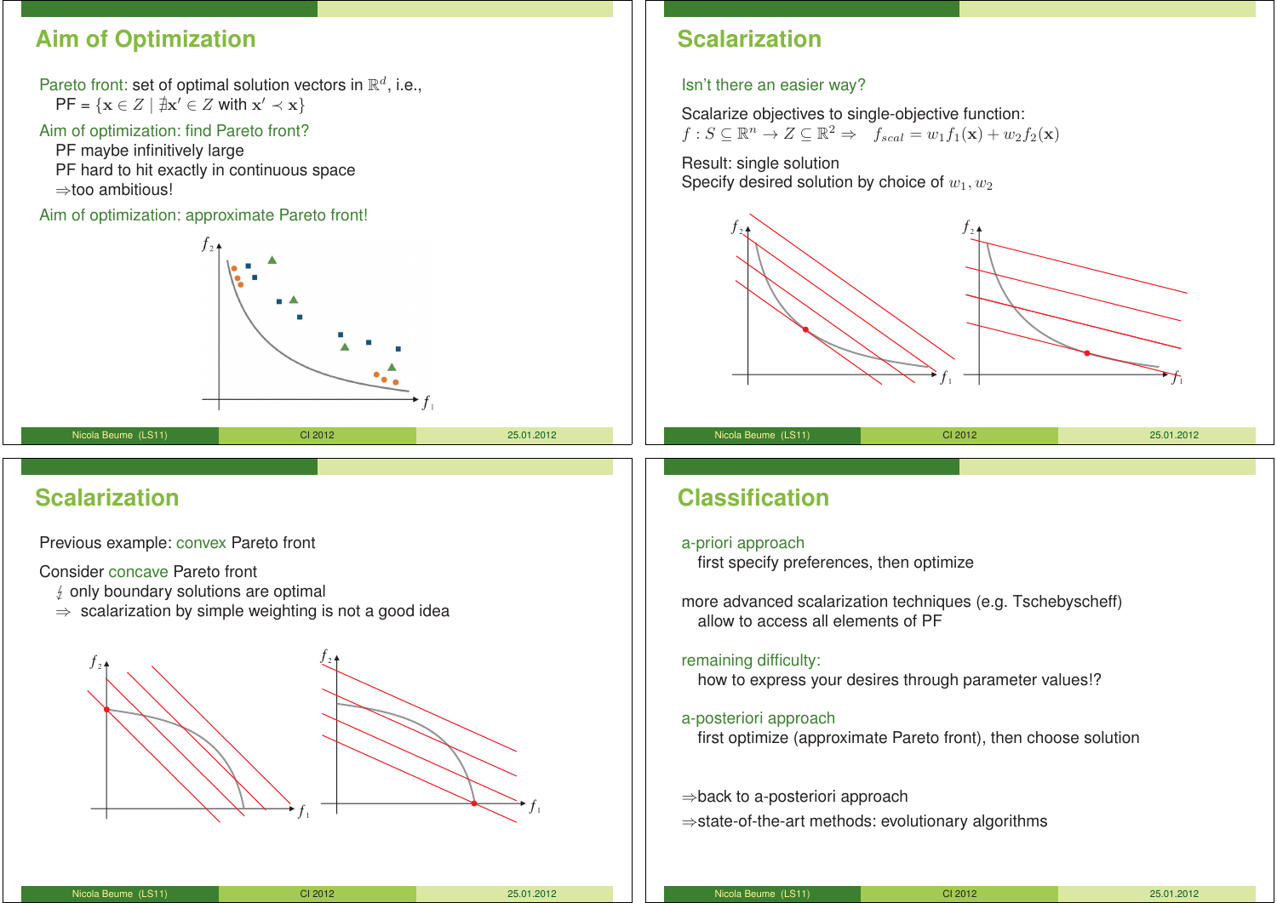## **Aim of Optimization**

Pareto front: set of optimal solution vectors in  $\mathbb{R}^d$ , i.e.,  $\mathsf{PF} = \{ \mathbf{x} \in Z \mid \nexists \mathbf{x}' \in Z \text{ with } \mathbf{x}' \prec \mathbf{x} \}$ 

#### Aim of optimization: find Pareto front?

PF maybe infinitively large PF hard to hit exactly in continuous space ⇒too ambitious!

Aim of optimization: approximate Pareto front!



#### Nicola Beume (LS11) CI 2012 25.01.2012

## **Scalarization**

Previous example: convex Pareto front

Consider concave Pareto front

- $\frac{1}{2}$  only boundary solutions are optimal
- $\Rightarrow$  scalarization by simple weighting is not a good idea



## **Scalarization**

#### Isn't there an easier way?

Scalarize objectives to single-objective function:  $f : S \subseteq \mathbb{R}^n \to Z \subseteq \mathbb{R}^2 \Rightarrow f_{scal} = w_1f_1(\mathbf{x}) + w_2f_2(\mathbf{x})$ 

Result: single solution Specify desired solution by choice of  $w_1, w_2$ 



## **Classification**

#### a-priori approach

first specify preferences, then optimize

more advanced scalarization techniques (e.g. Tschebyscheff) allow to access all elements of PF

#### remaining difficulty:

how to express your desires through parameter values!?

#### a-posteriori approach

first optimize (approximate Pareto front), then choose solution

⇒back to a-posteriori approach

⇒state-of-the-art methods: evolutionary algorithms

| Nicola Beume (LS11) | CI 2012 | 25.01.2012 |
|---------------------|---------|------------|

| CI 2012<br>25.01.2012<br>Nicola Beume (LS11) |
|----------------------------------------------|
|----------------------------------------------|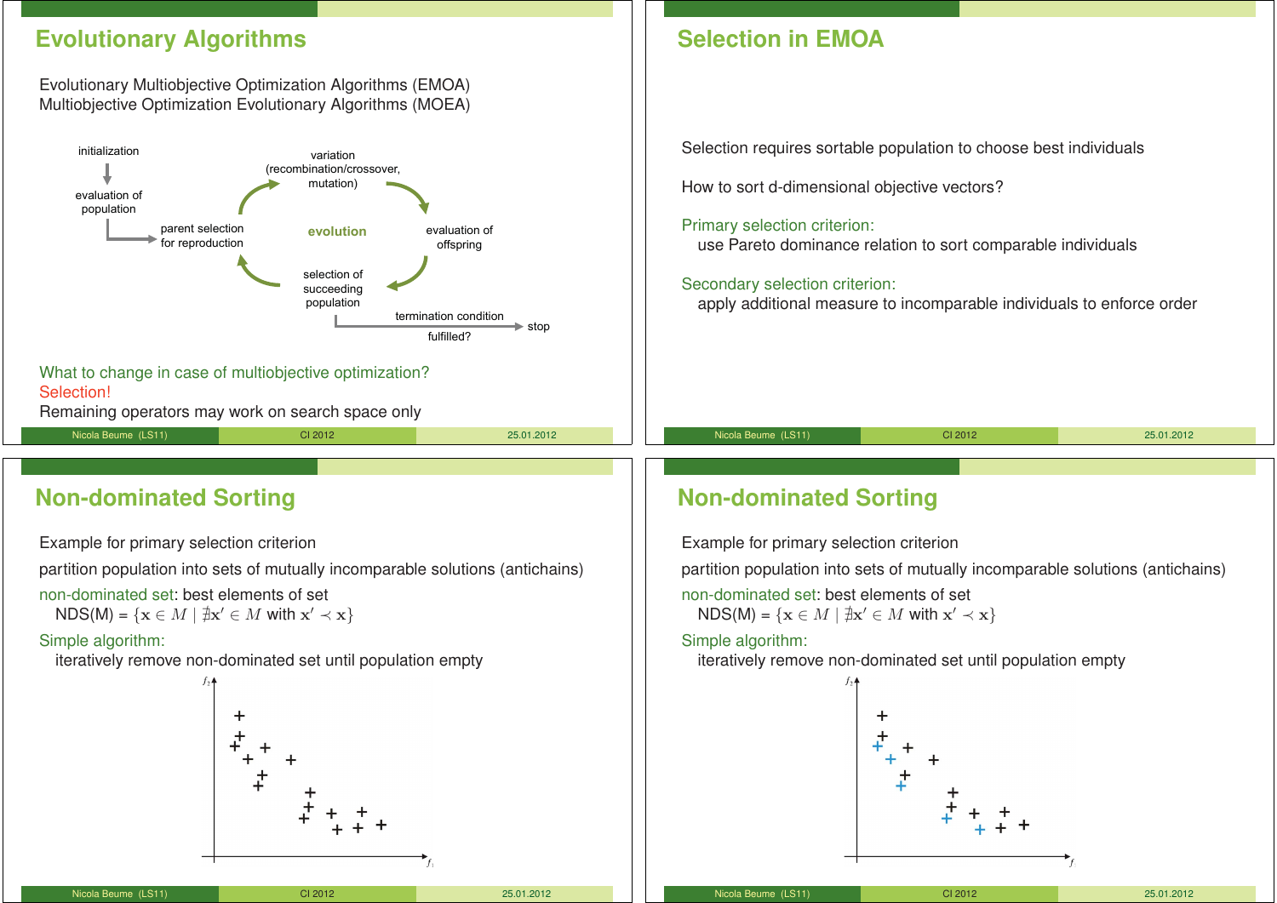## **Evolutionary Algorithms**

#### Evolutionary Multiobjective Optimization Algorithms (EMOA) Multiobjective Optimization Evolutionary Algorithms (MOEA)



Remaining operators may work on search space only

Nicola Beume (LS11) CI 2012 25.01.2012

**Non-dominated Sorting**

Example for primary selection criterion

partition population into sets of mutually incomparable solutions (antichains)

non-dominated set: best elements of set

 $NDS(M) = \{ \mathbf{x} \in M \mid \nexists \mathbf{x}' \in M \text{ with } \mathbf{x}' \prec \mathbf{x} \}$ 

#### Simple algorithm:

iteratively remove non-dominated set until population empty



Selection requires sortable population to choose best individuals

How to sort d-dimensional objective vectors?

#### Primary selection criterion:

use Pareto dominance relation to sort comparable individuals

#### Secondary selection criterion:

apply additional measure to incomparable individuals to enforce order

## **Non-dominated Sorting**

Example for primary selection criterion

partition population into sets of mutually incomparable solutions (antichains)

Nicola Beume (LS11) CI 2012 25.01.2012

non-dominated set: best elements of set

 $NDS(M) = \{ \mathbf{x} \in M \mid \nexists \mathbf{x}' \in M \text{ with } \mathbf{x}' \prec \mathbf{x} \}$ 

#### Simple algorithm:

iteratively remove non-dominated set until population empty



Nicola Beume (LS11) CI 2012 25.01.2012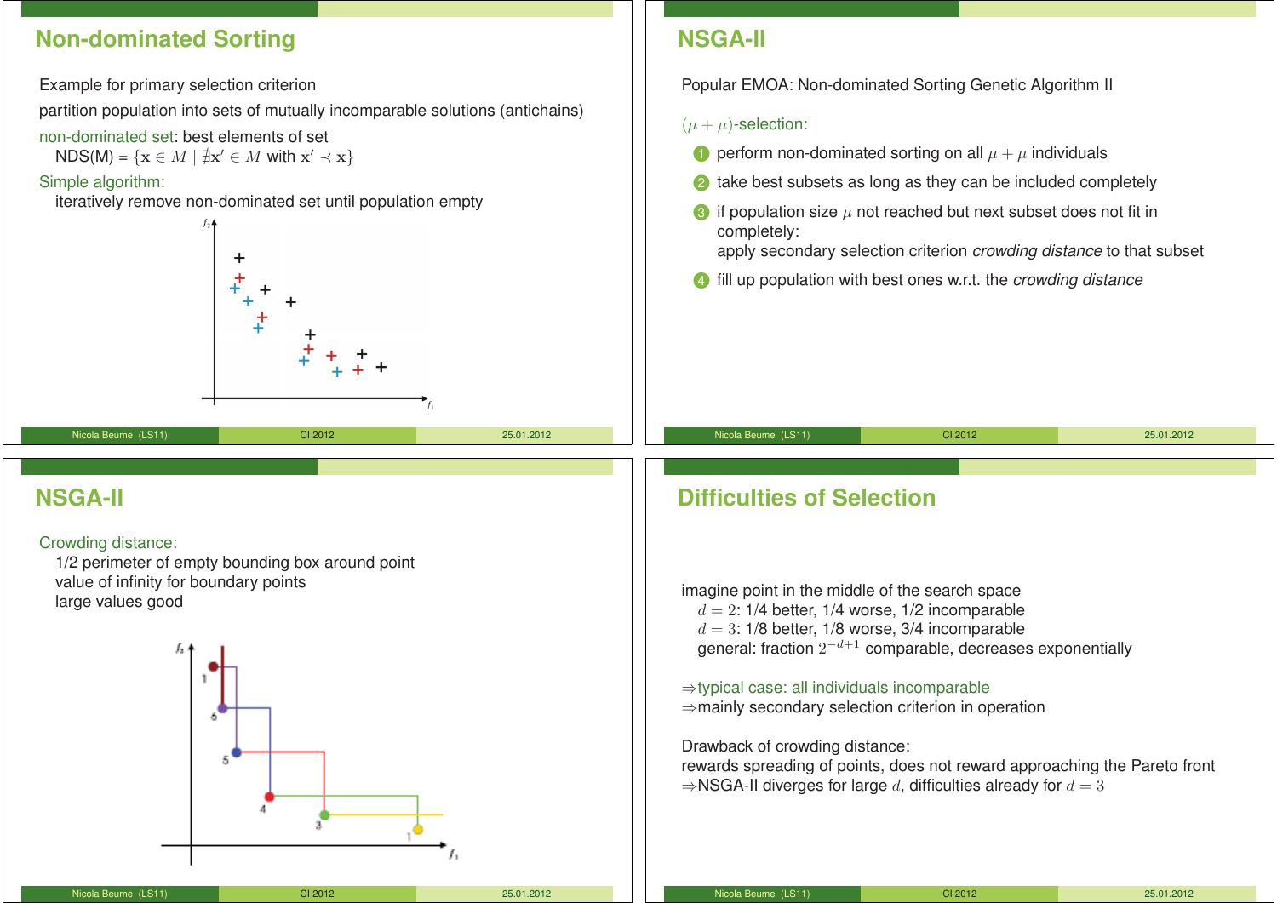## **Non-dominated Sorting**

Example for primary selection criterion

partition population into sets of mutually incomparable solutions (antichains)

- non-dominated set: best elements of set
	- $NDS(M) = \{ \mathbf{x} \in M \mid \nexists \mathbf{x}' \in M \text{ with } \mathbf{x}' \prec \mathbf{x} \}$

## Simple algorithm:

iteratively remove non-dominated set until population empty



Nicola Beume (LS11) CI 2012 25.01.2012

## **NSGA-II**

Popular EMOA: Non-dominated Sorting Genetic Algorithm II

## $(\mu + \mu)$ -selection:

- **1** perform non-dominated sorting on all  $\mu + \mu$  individuals
- <sup>2</sup> take best subsets as long as they can be included completely
- $\bullet$  if population size  $\mu$  not reached but next subset does not fit in completely: apply secondary selection criterion *crowding distance* to that subset
- 4 fill up population with best ones w.r.t. the *crowding distance*

Nicola Beume (LS11) CI 2012 25.01.2012

## **NSGA-II**

## Crowding distance:

1/2 perimeter of empty bounding box around point value of infinity for boundary points large values good



# **Difficulties of Selection**

imagine point in the middle of the search space  $d = 2$ : 1/4 better, 1/4 worse, 1/2 incomparable  $d = 3$ : 1/8 better, 1/8 worse, 3/4 incomparable general: fraction  $2^{-d+1}$  comparable, decreases exponentially

⇒typical case: all individuals incomparable ⇒mainly secondary selection criterion in operation

Drawback of crowding distance: rewards spreading of points, does not reward approaching the Pareto front  $\Rightarrow$ NSGA-II diverges for large d, difficulties already for  $d = 3$ 

| Nicola Beume (LS11) | CI 2012 | 25.01.2012 |
|---------------------|---------|------------|
|                     |         |            |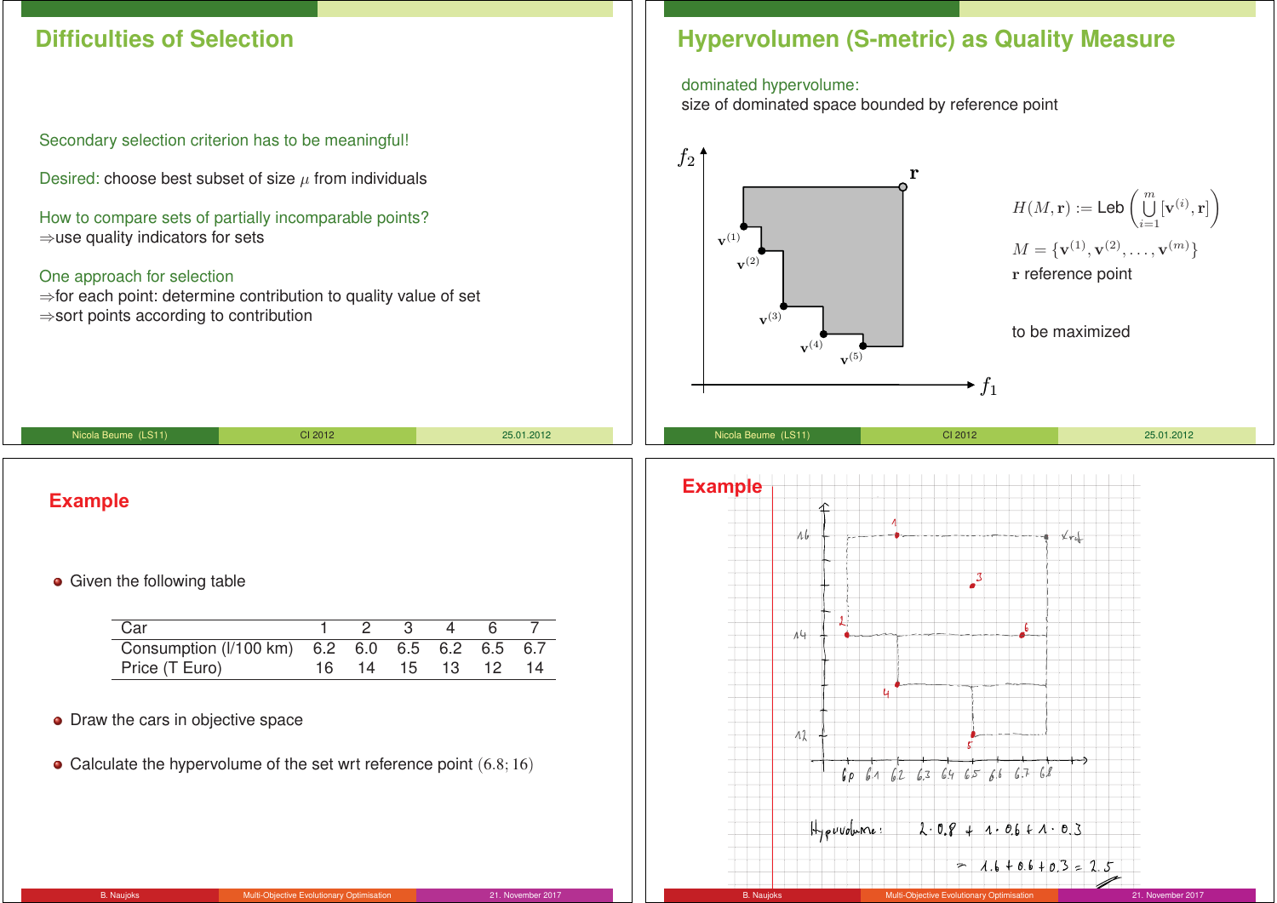## **Difficulties of Selection**

Secondary selection criterion has to be meaningful!

Desired: choose best subset of size  $\mu$  from individuals

How to compare sets of partially incomparable points? ⇒use quality indicators for sets

#### One approach for selection

⇒for each point: determine contribution to quality value of set ⇒sort points according to contribution

## **Hypervolumen (S-metric) as Quality Measure**

#### dominated hypervolume:

size of dominated space bounded by reference point



 $2.08 + 1.06 + 1.03$ 

 $= 1.6 + 0.6 + 0.3 = 2.5$ 

## **Example**

#### **•** Given the following table

| Car                                            |  |  | 1 2 3 4 6 7       |  |
|------------------------------------------------|--|--|-------------------|--|
| Consumption (I/100 km) 6.2 6.0 6.5 6.2 6.5 6.7 |  |  |                   |  |
| Price (T Euro)                                 |  |  | 16 14 15 13 12 14 |  |

Nicola Beume (LS11) CI 2012 25.01.2012

- Draw the cars in objective space
- Calculate the hypervolume of the set wrt reference point  $(6.8; 16)$

 $H_{\text{F}}$ *evvolume*: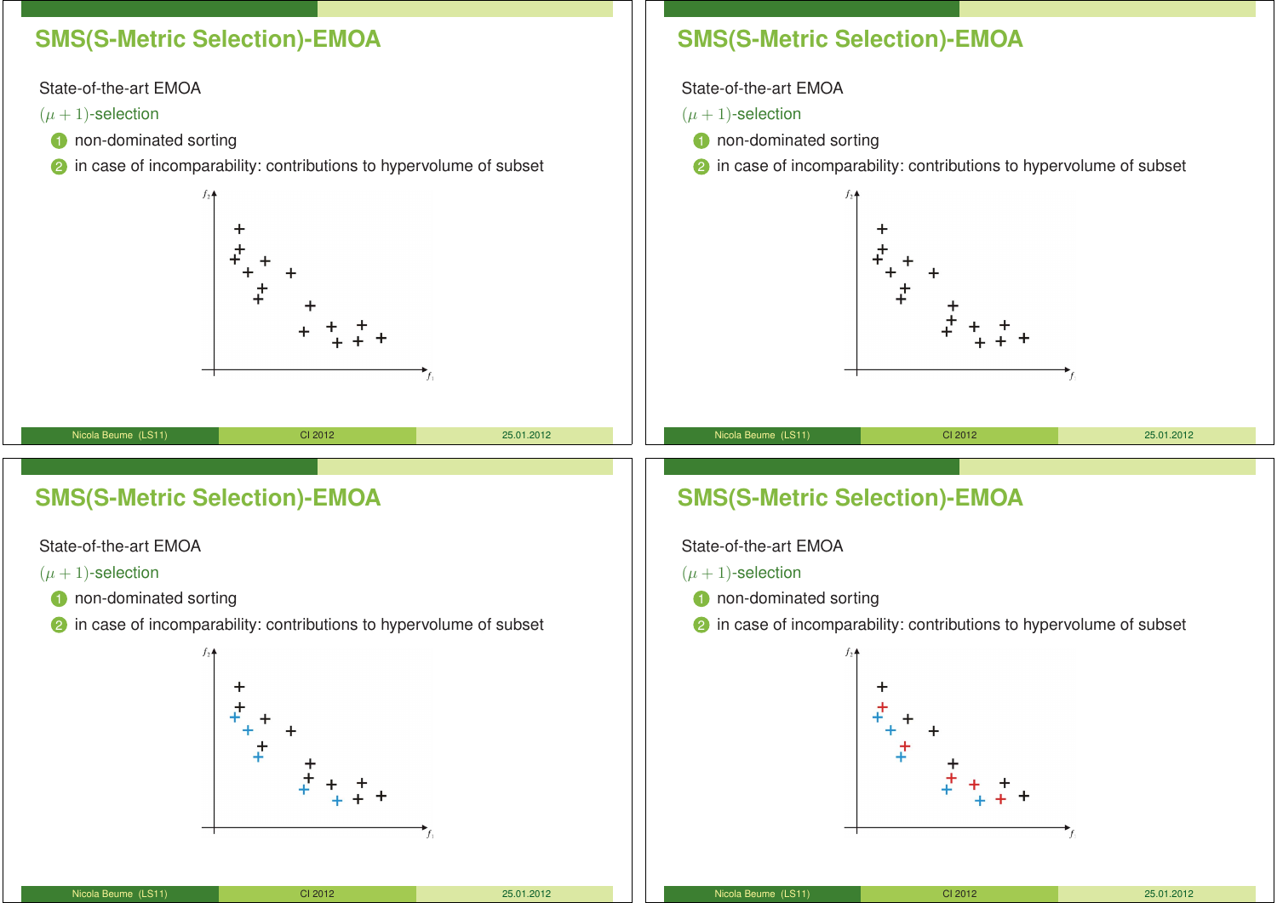## **SMS(S-Metric Selection)-EMOA**

State-of-the-art EMOA

 $(\mu + 1)$ -selection

- **1** non-dominated sorting
- 2 in case of incomparability: contributions to hypervolume of subset

## **SMS(S-Metric Selection)-EMOA**

State-of-the-art EMOA

 $(\mu + 1)$ -selection

- **1** non-dominated sorting
- 2 in case of incomparability: contributions to hypervolume of subset



# **SMS(S-Metric Selection)-EMOA**

State-of-the-art EMOA

 $(\mu + 1)$ -selection

- **1** non-dominated sorting
- 2 in case of incomparability: contributions to hypervolume of subset



| <b>SMS(S-Metric Selection)-EMOA</b> |  |  |
|-------------------------------------|--|--|
|-------------------------------------|--|--|

State-of-the-art EMOA

 $(\mu + 1)$ -selection

- **1** non-dominated sorting
- 2 in case of incomparability: contributions to hypervolume of subset



| Nicola Beume (LS11) | CI 2012 | 25.01.2012 |
|---------------------|---------|------------|
|                     |         |            |

| Nicola Beume (LS11) | CI 2012 | 25.01.2012 |
|---------------------|---------|------------|
|---------------------|---------|------------|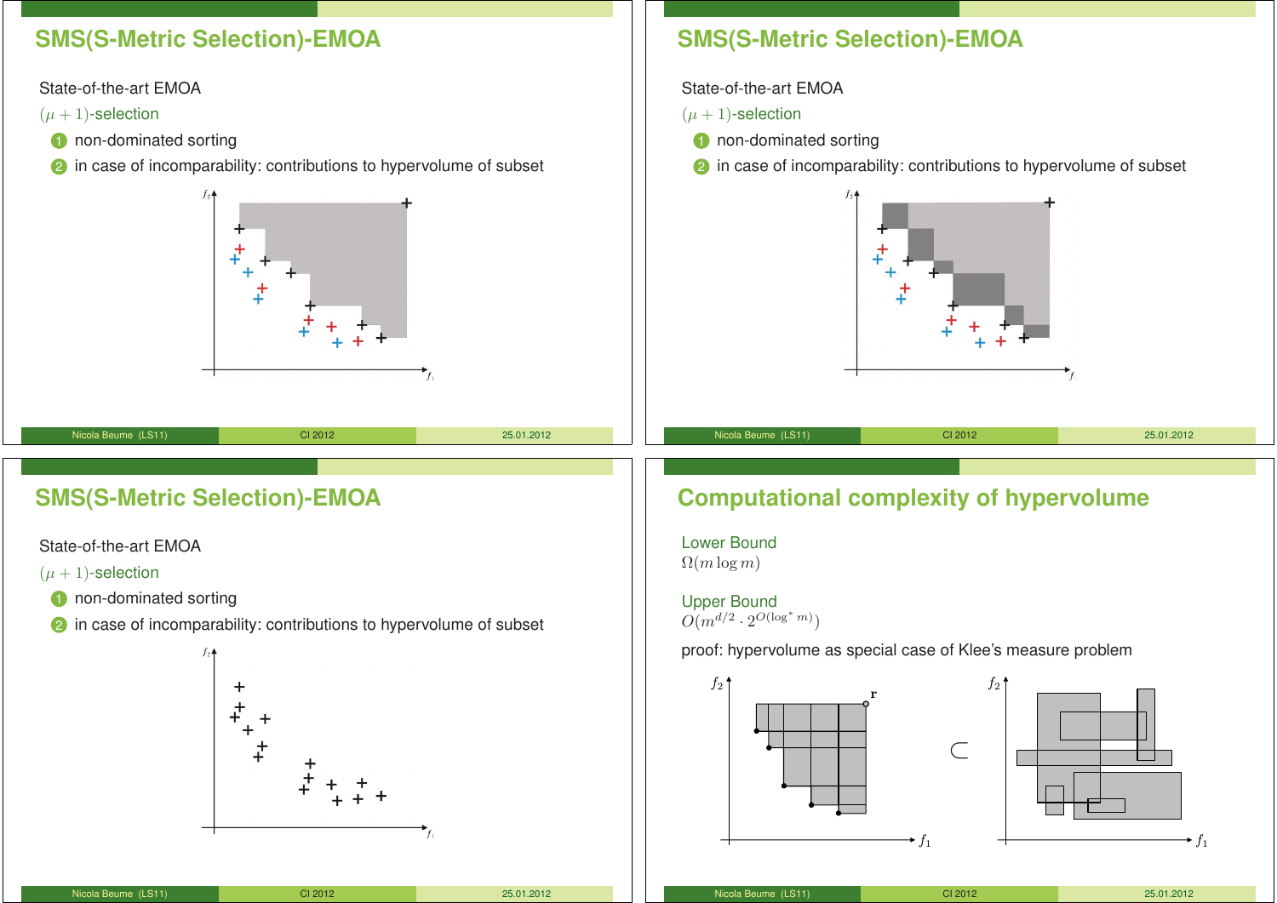## **SMS(S-Metric Selection)-EMOA**

State-of-the-art EMOA

 $(\mu + 1)$ -selection

- **1** non-dominated sorting
- **2** in case of incomparability: contributions to hypervolume of subset



# **SMS(S-Metric Selection)-EMOA**

State-of-the-art EMOA

 $(\mu + 1)$ -selection

**1** non-dominated sorting

2 in case of incomparability: contributions to hypervolume of subset



# **SMS(S-Metric Selection)-EMOA**

State-of-the-art EMOA

 $(\mu + 1)$ -selection

- **1** non-dominated sorting
- 2 in case of incomparability: contributions to hypervolume of subset



Lower Bound  $\Omega(m \log m)$ 

Upper Bound  $O(m^{d/2} \cdot 2^{O(\log^* m)})$ 

proof: hypervolume as special case of Klee's measure problem



| Nicola Beume (LS11) | CI 2012 | 25.01.2012 |
|---------------------|---------|------------|
|                     |         |            |

Nicola Beume (LS11) CI 2012 25.01.2012